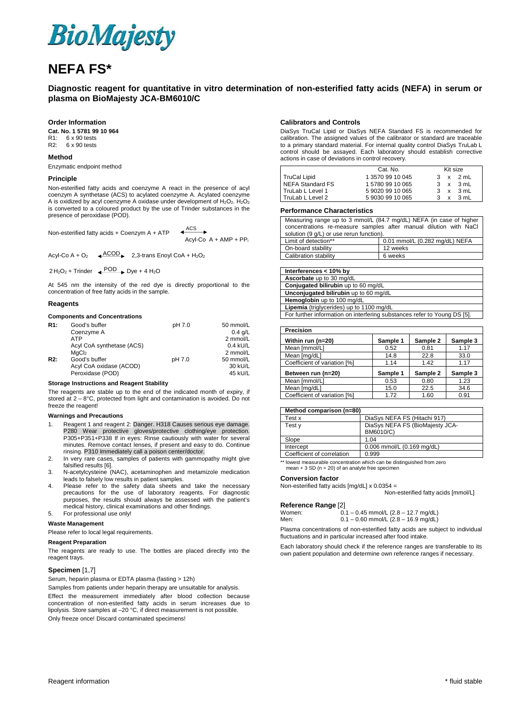

# **NEFA FS\***

### **Diagnostic reagent for quantitative in vitro determination of non-esterified fatty acids (NEFA) in serum or plasma on BioMajesty JCA-BM6010/C**

### **Order Information**

**Cat. No. 1 5781 99 10 964**  R1: 6 x 90 tests<br>R2: 6 x 90 tests 6 x 90 tests

#### **Method**

Enzymatic endpoint method

#### **Principle**

Non-esterified fatty acids and coenzyme A react in the presence of acyl coenzym A synthetase (ACS) to acylated coenzyme A. Acylated coenzyme A is oxidized by acyl coenzyme A oxidase under development of  $H_2O_2$ .  $H_2O_2$ is converted to a coloured product by the use of Trinder substances in the presence of peroxidase (POD).

Non-esterified fatty acids + Coenzym A + ATP  $\longleftrightarrow$  $Acvl$ - $Co$   $A + AMP + PP<sub>i</sub>$ 

Acyl-Co A + O<sub>2</sub>  $\leftarrow \frac{ACOD}{2}$  2,3-trans Enoyl CoA + H<sub>2</sub>O<sub>2</sub>

 $2 \text{ H}_2\text{O}_2$  + Trinder  $\leftrightarrow$  POD  $\leftrightarrow$  Dye + 4 H<sub>2</sub>O

At 545 nm the intensity of the red dye is directly proportional to the concentration of free fatty acids in the sample.

#### **Reagents**

#### **Components and Concentrations**

| R1:              | Good's buffer             | pH 7.0 | 50 mmol/L  |
|------------------|---------------------------|--------|------------|
|                  | Coenzyme A                |        | $0.4$ g/L  |
|                  | <b>ATP</b>                |        | 2 mmol/L   |
|                  | Acyl CoA synthetase (ACS) |        | $0.4$ kU/L |
|                  | MaCl <sub>2</sub>         |        | 2 mmol/L   |
| R <sub>2</sub> : | Good's buffer             | pH 7.0 | 50 mmol/L  |
|                  | Acyl CoA oxidase (ACOD)   |        | 30 kU/L    |
|                  | Peroxidase (POD)          |        | 45 kU/L    |

#### **Storage Instructions and Reagent Stability**

The reagents are stable up to the end of the indicated month of expiry, if stored at  $2 - 8$ °C, protected from light and contamination is avoided. Do not freeze the reagent!

#### **Warnings and Precautions**

- 1. Reagent 1 and reagent 2: Danger. H318 Causes serious eye damage. P280 Wear protective gloves/protective clothing/eye protection. P305+P351+P338 If in eyes: Rinse cautiously with water for several minutes. Remove contact lenses, if present and easy to do. Continue rinsing. P310 Immediately call a poison center/doctor.
- 2. In very rare cases, samples of patients with gammopathy might give falsified results [6].
- 3. N-acetylcysteine (NAC), acetaminophen and metamizole medication leads to falsely low results in patient samples.
- 4. Please refer to the safety data sheets and take the necessary precautions for the use of laboratory reagents. For diagnostic purposes, the results should always be assessed with the patient's medical history, clinical examinations and other findings.

## 5. For professional use only!

**Waste Management** 

Please refer to local legal requirements.

#### **Reagent Preparation**

The reagents are ready to use. The bottles are placed directly into the reagent trays.

#### **Specimen** [1,7]

Serum, heparin plasma or EDTA plasma (fasting > 12h)

Samples from patients under heparin therapy are unsuitable for analysis. Effect the measurement immediately after blood collection because concentration of non-esterified fatty acids in serum increases due to lipolysis. Store samples at –20 °C, if direct measurement is not possible. Only freeze once! Discard contaminated specimens!

#### **Calibrators and Controls**

DiaSys TruCal Lipid or DiaSys NEFA Standard FS is recommended for calibration. The assigned values of the calibrator or standard are traceable to a primary standard material. For internal quality control DiaSys TruLab L control should be assayed. Each laboratory should establish corrective actions in case of deviations in control recovery.

|                     | Cat. No.         | Kit size     |      |
|---------------------|------------------|--------------|------|
| <b>TruCal Lipid</b> | 1 3570 99 10 045 | $\mathsf{x}$ | 2 mL |
| NEFA Standard FS    | 157809910065     | x            | 3 mL |
| TruLab L Level 1    | 590209910065     | x            | 3 mL |
| TruLab L Level 2    | 590309910065     | X            | 3 mL |

#### **Performance Characteristics**

| Measuring range up to 3 mmol/L (84.7 mg/dL) NEFA (in case of higher<br>concentrations re-measure samples after manual dilution with NaCl<br>solution (9 g/L) or use rerun function). |  |  |
|--------------------------------------------------------------------------------------------------------------------------------------------------------------------------------------|--|--|
| Limit of detection**<br>0.01 mmol/L (0.282 mg/dL) NEFA                                                                                                                               |  |  |
| On-board stability<br>12 weeks                                                                                                                                                       |  |  |
| Calibration stability<br>6 weeks                                                                                                                                                     |  |  |

| Interferences < 10% by                                                   |
|--------------------------------------------------------------------------|
| Ascorbate up to 30 mg/dL                                                 |
| Conjugated bilirubin up to 60 mg/dL                                      |
| Unconjugated bilirubin up to 60 mg/dL                                    |
| Hemoglobin up to 100 mg/dL                                               |
| Lipemia (triglycerides) up to 1100 mg/dL                                 |
| For further information on interfering substances refer to Young DS [5]. |

| Precision                    |          |          |          |
|------------------------------|----------|----------|----------|
| Within run (n=20)            | Sample 1 | Sample 2 | Sample 3 |
| Mean Immol/L1                | 0.52     | 0.81     | 1.17     |
| Mean [mg/dL]                 | 14.8     | 22.8     | 33.0     |
| Coefficient of variation [%] | 1.14     | 1.42     | 1.17     |
| Between run (n=20)           | Sample 1 | Sample 2 | Sample 3 |
| Mean [mmol/L]                | 0.53     | 0.80     | 1.23     |
| Mean [mg/dL]                 | 15.0     | 22.5     | 34.6     |
| Coefficient of variation [%] | 1.72     | 1.60     | 0.91     |

| Method comparison (n=80)   |                                 |
|----------------------------|---------------------------------|
| Test x                     | DiaSys NEFA FS (Hitachi 917)    |
| Test y                     | DiaSys NEFA FS (BioMajesty JCA- |
|                            | BM6010/C)                       |
| Slope                      | 1.04                            |
| Intercept                  | 0.006 mmol/L (0.169 mg/dL)      |
| Coefficient of correlation | 0.999                           |

\*\* lowest measurable concentration which can be distinguished from zero mean + 3 SD (n = 20) of an analyte free specimen

#### **Conversion factor**

Non-esterified fatty acids [mg/dL] x 0.0354 =

Non-esterified fatty acids [mmol/L]

| Reference Range [2] |                                        |
|---------------------|----------------------------------------|
| Women:              | $0.1 - 0.45$ mmol/L (2.8 - 12.7 mg/dL) |

Men: 0.1 – 0.60 mmol/L (2.8 – 16.9 mg/dL)

Plasma concentrations of non-esterified fatty acids are subject to individual fluctuations and in particular increased after food intake.

Each laboratory should check if the reference ranges are transferable to its own patient population and determine own reference ranges if necessary.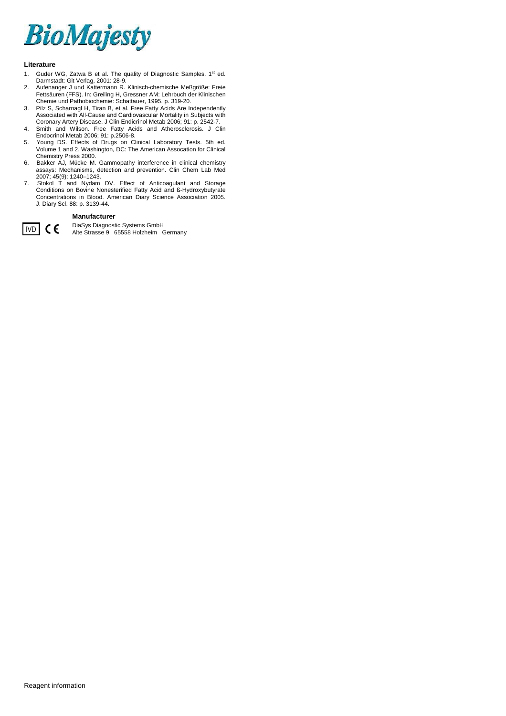

#### **Literature**

- 1. Guder WG, Zatwa B et al. The quality of Diagnostic Samples. 1st ed. Darmstadt: Git Verlag, 2001: 28-9.
- 2. Aufenanger J und Kattermann R. Klinisch-chemische Meßgröße: Freie Fettsäuren (FFS). In: Greiling H, Gressner AM: Lehrbuch der Klinischen Chemie und Pathobiochemie: Schattauer, 1995. p. 319-20.
- 3. Pilz S, Scharnagl H, Tiran B, et al. Free Fatty Acids Are Independently Associated with All-Cause and Cardiovascular Mortality in Subjects with Coronary Artery Disease. J Clin Endicrinol Metab 2006; 91: p. 2542-7.
- 4. Smith and Wilson. Free Fatty Acids and Atherosclerosis. J Clin Endocrinol Metab 2006; 91: p.2506-8.
- 5. Young DS. Effects of Drugs on Clinical Laboratory Tests. 5th ed. Volume 1 and 2. Washington, DC: The American Assocation for Clinical Chemistry Press 2000.
- 6. Bakker AJ, Mücke M. Gammopathy interference in clinical chemistry assays: Mechanisms, detection and prevention. Clin Chem Lab Med 2007; 45(9): 1240–1243.
- 7. Stokol T and Nydam DV. Effect of Anticoagulant and Storage Conditions on Bovine Nonesterified Fatty Acid and ß-Hydroxybutyrate Concentrations in Blood. American Diary Science Association 2005. J. Diary Scl. 88: p. 3139-44.

#### **Manufacturer**



**IVD** CC DiaSys Diagnostic Systems GmbH<br>
Alte Strasse 9 65558 Holzheim Germany